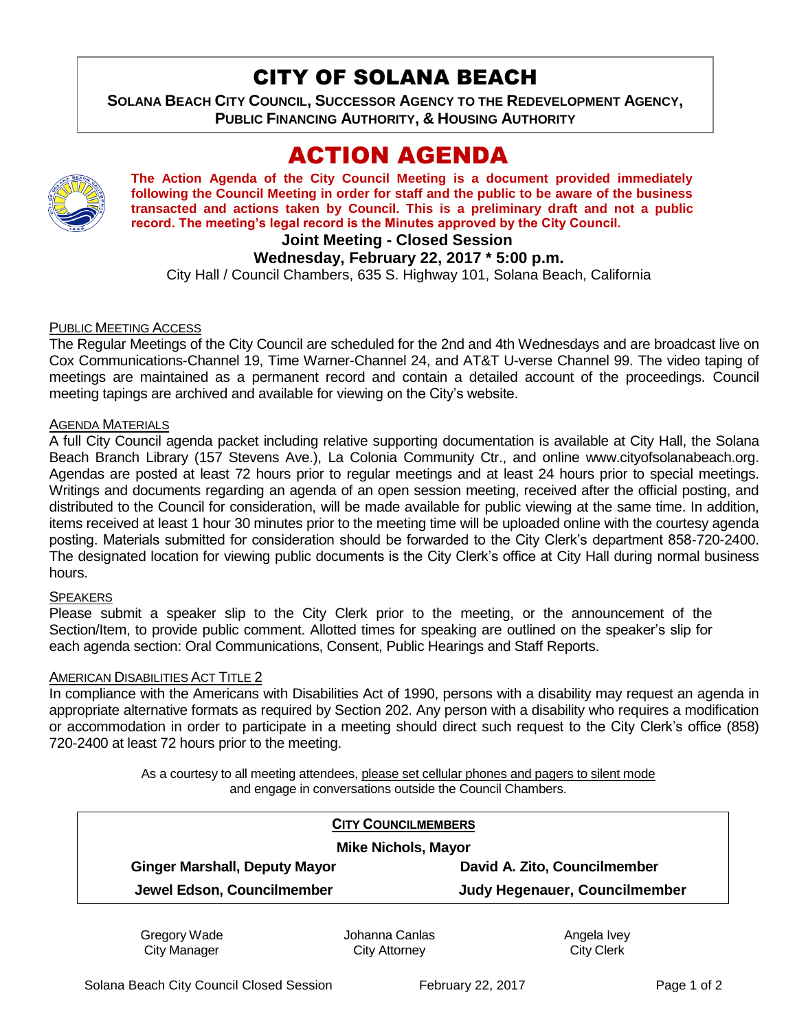# CITY OF SOLANA BEACH

**SOLANA BEACH CITY COUNCIL, SUCCESSOR AGENCY TO THE REDEVELOPMENT AGENCY, PUBLIC FINANCING AUTHORITY, & HOUSING AUTHORITY** 

# ACTION AGENDA



**The Action Agenda of the City Council Meeting is a document provided immediately following the Council Meeting in order for staff and the public to be aware of the business transacted and actions taken by Council. This is a preliminary draft and not a public record. The meeting's legal record is the Minutes approved by the City Council.**

## **Joint Meeting - Closed Session**

## **Wednesday, February 22, 2017 \* 5:00 p.m.**

City Hall / Council Chambers, 635 S. Highway 101, Solana Beach, California

### PUBLIC MEETING ACCESS

The Regular Meetings of the City Council are scheduled for the 2nd and 4th Wednesdays and are broadcast live on Cox Communications-Channel 19, Time Warner-Channel 24, and AT&T U-verse Channel 99. The video taping of meetings are maintained as a permanent record and contain a detailed account of the proceedings. Council meeting tapings are archived and available for viewing on the City's website.

#### AGENDA MATERIALS

A full City Council agenda packet including relative supporting documentation is available at City Hall, the Solana Beach Branch Library (157 Stevens Ave.), La Colonia Community Ctr., and online www.cityofsolanabeach.org. Agendas are posted at least 72 hours prior to regular meetings and at least 24 hours prior to special meetings. Writings and documents regarding an agenda of an open session meeting, received after the official posting, and distributed to the Council for consideration, will be made available for public viewing at the same time. In addition, items received at least 1 hour 30 minutes prior to the meeting time will be uploaded online with the courtesy agenda posting. Materials submitted for consideration should be forwarded to the City Clerk's department 858-720-2400. The designated location for viewing public documents is the City Clerk's office at City Hall during normal business hours.

#### **SPEAKERS**

Please submit a speaker slip to the City Clerk prior to the meeting, or the announcement of the Section/Item, to provide public comment. Allotted times for speaking are outlined on the speaker's slip for each agenda section: Oral Communications, Consent, Public Hearings and Staff Reports.

### AMERICAN DISABILITIES ACT TITLE 2

In compliance with the Americans with Disabilities Act of 1990, persons with a disability may request an agenda in appropriate alternative formats as required by Section 202. Any person with a disability who requires a modification or accommodation in order to participate in a meeting should direct such request to the City Clerk's office (858) 720-2400 at least 72 hours prior to the meeting.

> As a courtesy to all meeting attendees, please set cellular phones and pagers to silent mode and engage in conversations outside the Council Chambers.

|                                      | <b>CITY COUNCILMEMBERS</b>    |
|--------------------------------------|-------------------------------|
| <b>Mike Nichols, Mayor</b>           |                               |
| <b>Ginger Marshall, Deputy Mayor</b> | David A. Zito, Councilmember  |
| Jewel Edson, Councilmember           | Judy Hegenauer, Councilmember |

Gregory Wade City Manager

Johanna Canlas City Attorney

Angela Ivey City Clerk

Solana Beach City Council Closed Session February 22, 2017 **Page 1 of 2** Page 1 of 2